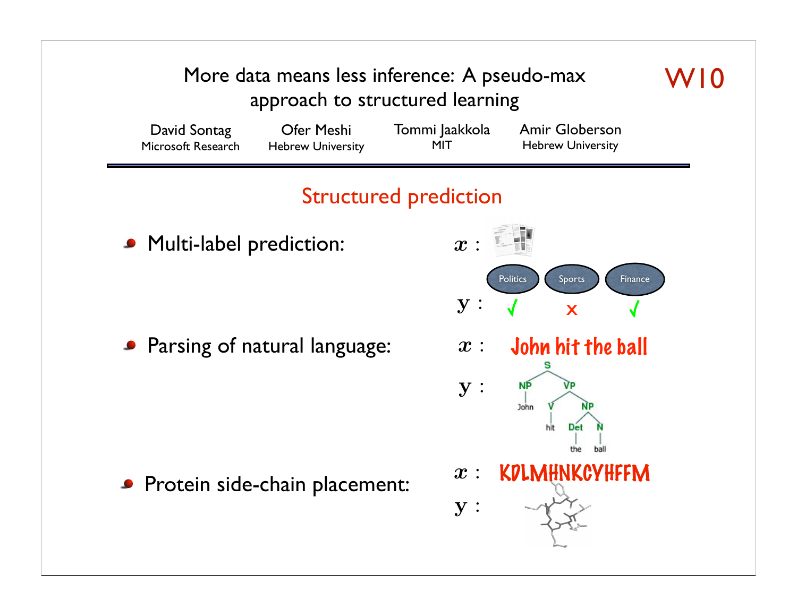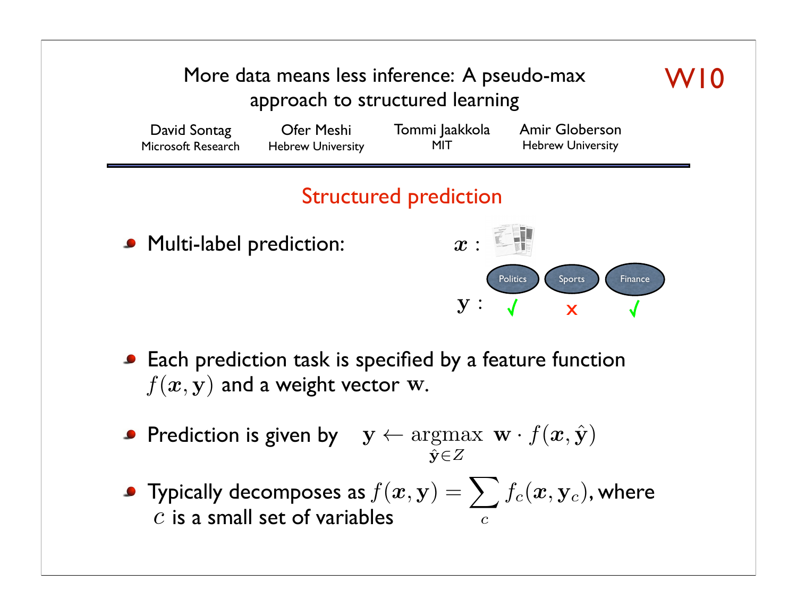

- **Each prediction task is specified by a feature function**  $f(x, y)$  and a weight vector w.
- Prediction is given by  $y \leftarrow \arg\!\max\limits_{\hat{y} \in Z} \mathbf{w} \cdot f(\bm{x}, \hat{\mathbf{y}})$  $\hat{\mathbf{y}} \in Z$
- Typically decomposes as  $f(\bm{x},\mathbf{y}) = \sum f_c(\bm{x},\mathbf{y}_c)$ , where c is a small set of variables  $f(\boldsymbol{x}, \mathbf{y}) = \sum$ *c*  $f_c(\bm{x}, \mathbf{y}_c)$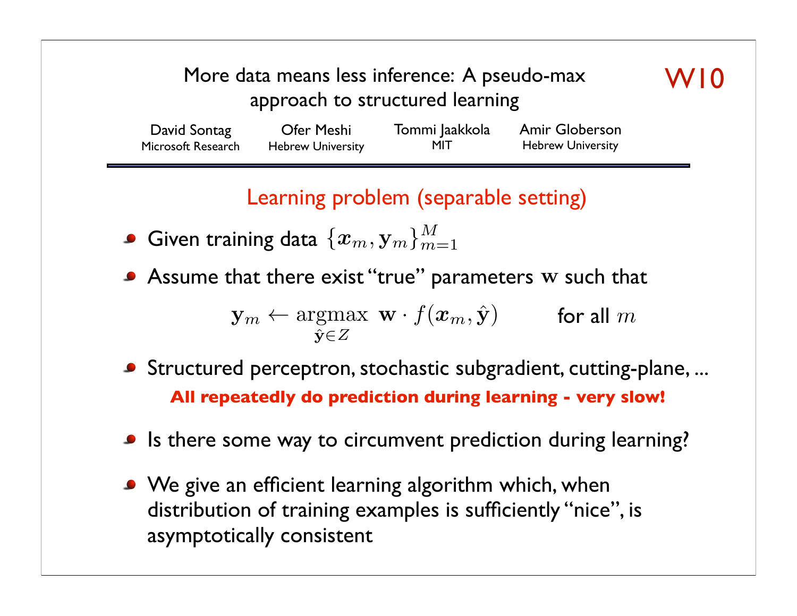## More data means less inference: A pseudo-max approach to structured learning

| David Sontag       | Ofer Meshi               | Tommi Jaakkola | <b>Amir Globerson</b>    |
|--------------------|--------------------------|----------------|--------------------------|
| Microsoft Research | <b>Hebrew University</b> | MIT            | <b>Hebrew University</b> |

Learning problem (separable setting)

- Given training data  $\{\boldsymbol{x}_m, \mathbf{y}_m\}_{m=1}^M$
- Assume that there exist "true" parameters w such that

 $\mathbf{y}_m \leftarrow \operatorname*{argmax}_{\hat{\mathbf{x}} \in \mathcal{I}} \mathbf{w} \cdot f(\boldsymbol{x}_m, \hat{\mathbf{y}})$  for all  $m$  $\hat{\mathbf{v}} \in Z$ 

- Structured perceptron, stochastic subgradient, cutting-plane, ... **All repeatedly do prediction during learning - very slow!**
- Is there some way to circumvent prediction during learning?
- We give an efficient learning algorithm which, when distribution of training examples is sufficiently "nice", is asymptotically consistent